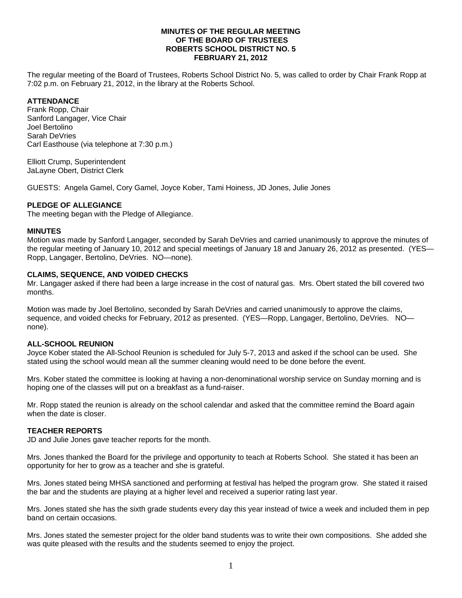### **MINUTES OF THE REGULAR MEETING OF THE BOARD OF TRUSTEES ROBERTS SCHOOL DISTRICT NO. 5 FEBRUARY 21, 2012**

The regular meeting of the Board of Trustees, Roberts School District No. 5, was called to order by Chair Frank Ropp at 7:02 p.m. on February 21, 2012, in the library at the Roberts School.

# **ATTENDANCE**

Frank Ropp, Chair Sanford Langager, Vice Chair Joel Bertolino Sarah DeVries Carl Easthouse (via telephone at 7:30 p.m.)

Elliott Crump, Superintendent JaLayne Obert, District Clerk

GUESTS: Angela Gamel, Cory Gamel, Joyce Kober, Tami Hoiness, JD Jones, Julie Jones

## **PLEDGE OF ALLEGIANCE**

The meeting began with the Pledge of Allegiance.

#### **MINUTES**

Motion was made by Sanford Langager, seconded by Sarah DeVries and carried unanimously to approve the minutes of the regular meeting of January 10, 2012 and special meetings of January 18 and January 26, 2012 as presented. (YES— Ropp, Langager, Bertolino, DeVries. NO—none).

## **CLAIMS, SEQUENCE, AND VOIDED CHECKS**

Mr. Langager asked if there had been a large increase in the cost of natural gas. Mrs. Obert stated the bill covered two months.

Motion was made by Joel Bertolino, seconded by Sarah DeVries and carried unanimously to approve the claims, sequence, and voided checks for February, 2012 as presented. (YES—Ropp, Langager, Bertolino, DeVries. NO none).

## **ALL-SCHOOL REUNION**

Joyce Kober stated the All-School Reunion is scheduled for July 5-7, 2013 and asked if the school can be used. She stated using the school would mean all the summer cleaning would need to be done before the event.

Mrs. Kober stated the committee is looking at having a non-denominational worship service on Sunday morning and is hoping one of the classes will put on a breakfast as a fund-raiser.

Mr. Ropp stated the reunion is already on the school calendar and asked that the committee remind the Board again when the date is closer.

#### **TEACHER REPORTS**

JD and Julie Jones gave teacher reports for the month.

Mrs. Jones thanked the Board for the privilege and opportunity to teach at Roberts School. She stated it has been an opportunity for her to grow as a teacher and she is grateful.

Mrs. Jones stated being MHSA sanctioned and performing at festival has helped the program grow. She stated it raised the bar and the students are playing at a higher level and received a superior rating last year.

Mrs. Jones stated she has the sixth grade students every day this year instead of twice a week and included them in pep band on certain occasions.

Mrs. Jones stated the semester project for the older band students was to write their own compositions. She added she was quite pleased with the results and the students seemed to enjoy the project.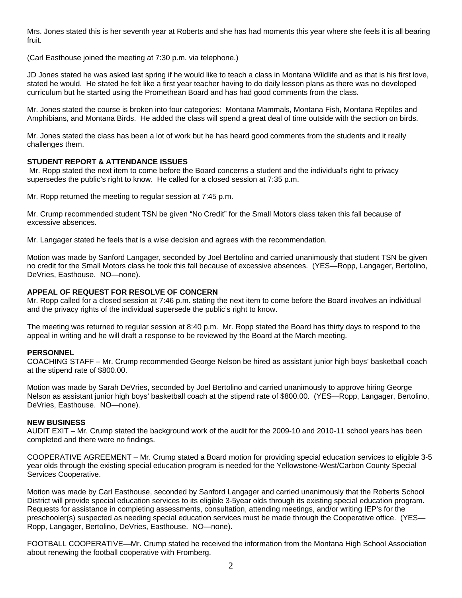Mrs. Jones stated this is her seventh year at Roberts and she has had moments this year where she feels it is all bearing fruit.

(Carl Easthouse joined the meeting at 7:30 p.m. via telephone.)

JD Jones stated he was asked last spring if he would like to teach a class in Montana Wildlife and as that is his first love, stated he would. He stated he felt like a first year teacher having to do daily lesson plans as there was no developed curriculum but he started using the Promethean Board and has had good comments from the class.

Mr. Jones stated the course is broken into four categories: Montana Mammals, Montana Fish, Montana Reptiles and Amphibians, and Montana Birds. He added the class will spend a great deal of time outside with the section on birds.

Mr. Jones stated the class has been a lot of work but he has heard good comments from the students and it really challenges them.

## **STUDENT REPORT & ATTENDANCE ISSUES**

 Mr. Ropp stated the next item to come before the Board concerns a student and the individual's right to privacy supersedes the public's right to know. He called for a closed session at 7:35 p.m.

Mr. Ropp returned the meeting to regular session at 7:45 p.m.

Mr. Crump recommended student TSN be given "No Credit" for the Small Motors class taken this fall because of excessive absences.

Mr. Langager stated he feels that is a wise decision and agrees with the recommendation.

Motion was made by Sanford Langager, seconded by Joel Bertolino and carried unanimously that student TSN be given no credit for the Small Motors class he took this fall because of excessive absences. (YES—Ropp, Langager, Bertolino, DeVries, Easthouse. NO—none).

## **APPEAL OF REQUEST FOR RESOLVE OF CONCERN**

Mr. Ropp called for a closed session at 7:46 p.m. stating the next item to come before the Board involves an individual and the privacy rights of the individual supersede the public's right to know.

The meeting was returned to regular session at 8:40 p.m. Mr. Ropp stated the Board has thirty days to respond to the appeal in writing and he will draft a response to be reviewed by the Board at the March meeting.

#### **PERSONNEL**

COACHING STAFF – Mr. Crump recommended George Nelson be hired as assistant junior high boys' basketball coach at the stipend rate of \$800.00.

Motion was made by Sarah DeVries, seconded by Joel Bertolino and carried unanimously to approve hiring George Nelson as assistant junior high boys' basketball coach at the stipend rate of \$800.00. (YES—Ropp, Langager, Bertolino, DeVries, Easthouse. NO—none).

#### **NEW BUSINESS**

AUDIT EXIT – Mr. Crump stated the background work of the audit for the 2009-10 and 2010-11 school years has been completed and there were no findings.

COOPERATIVE AGREEMENT – Mr. Crump stated a Board motion for providing special education services to eligible 3-5 year olds through the existing special education program is needed for the Yellowstone-West/Carbon County Special Services Cooperative.

Motion was made by Carl Easthouse, seconded by Sanford Langager and carried unanimously that the Roberts School District will provide special education services to its eligible 3-5year olds through its existing special education program. Requests for assistance in completing assessments, consultation, attending meetings, and/or writing IEP's for the preschooler(s) suspected as needing special education services must be made through the Cooperative office. (YES— Ropp, Langager, Bertolino, DeVries, Easthouse. NO—none).

FOOTBALL COOPERATIVE—Mr. Crump stated he received the information from the Montana High School Association about renewing the football cooperative with Fromberg.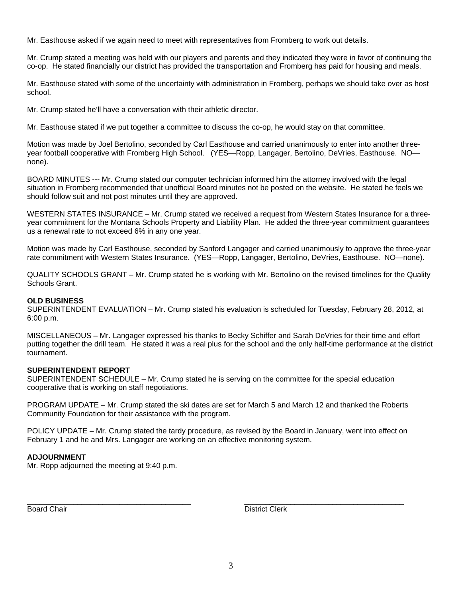Mr. Easthouse asked if we again need to meet with representatives from Fromberg to work out details.

Mr. Crump stated a meeting was held with our players and parents and they indicated they were in favor of continuing the co-op. He stated financially our district has provided the transportation and Fromberg has paid for housing and meals.

Mr. Easthouse stated with some of the uncertainty with administration in Fromberg, perhaps we should take over as host school.

Mr. Crump stated he'll have a conversation with their athletic director.

Mr. Easthouse stated if we put together a committee to discuss the co-op, he would stay on that committee.

Motion was made by Joel Bertolino, seconded by Carl Easthouse and carried unanimously to enter into another threeyear football cooperative with Fromberg High School. (YES—Ropp, Langager, Bertolino, DeVries, Easthouse. NO none).

BOARD MINUTES --- Mr. Crump stated our computer technician informed him the attorney involved with the legal situation in Fromberg recommended that unofficial Board minutes not be posted on the website. He stated he feels we should follow suit and not post minutes until they are approved.

WESTERN STATES INSURANCE – Mr. Crump stated we received a request from Western States Insurance for a threeyear commitment for the Montana Schools Property and Liability Plan. He added the three-year commitment guarantees us a renewal rate to not exceed 6% in any one year.

Motion was made by Carl Easthouse, seconded by Sanford Langager and carried unanimously to approve the three-year rate commitment with Western States Insurance. (YES—Ropp, Langager, Bertolino, DeVries, Easthouse. NO—none).

QUALITY SCHOOLS GRANT – Mr. Crump stated he is working with Mr. Bertolino on the revised timelines for the Quality Schools Grant.

#### **OLD BUSINESS**

SUPERINTENDENT EVALUATION – Mr. Crump stated his evaluation is scheduled for Tuesday, February 28, 2012, at 6:00 p.m.

MISCELLANEOUS – Mr. Langager expressed his thanks to Becky Schiffer and Sarah DeVries for their time and effort putting together the drill team. He stated it was a real plus for the school and the only half-time performance at the district tournament.

## **SUPERINTENDENT REPORT**

SUPERINTENDENT SCHEDULE – Mr. Crump stated he is serving on the committee for the special education cooperative that is working on staff negotiations.

PROGRAM UPDATE – Mr. Crump stated the ski dates are set for March 5 and March 12 and thanked the Roberts Community Foundation for their assistance with the program.

POLICY UPDATE – Mr. Crump stated the tardy procedure, as revised by the Board in January, went into effect on February 1 and he and Mrs. Langager are working on an effective monitoring system.

\_\_\_\_\_\_\_\_\_\_\_\_\_\_\_\_\_\_\_\_\_\_\_\_\_\_\_\_\_\_\_\_\_\_\_\_\_\_\_ \_\_\_\_\_\_\_\_\_\_\_\_\_\_\_\_\_\_\_\_\_\_\_\_\_\_\_\_\_\_\_\_\_\_\_\_\_\_

#### **ADJOURNMENT**

Mr. Ropp adjourned the meeting at 9:40 p.m.

Board Chair **District Clerk Board Chair District Clerk**